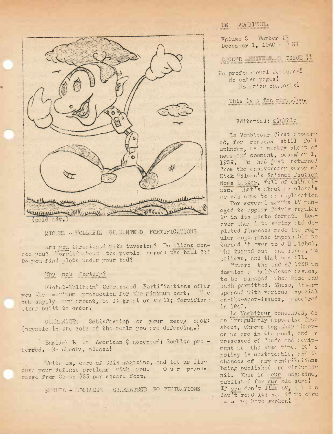

## MIC. TL . WOLL ETH SULRAMTE D FORTIFICATIONS

Are you threatened with invasion? Do aliens mensee you? Torried shout the people across the hall ??? Do you find plots under your bod?

## Thy not "ortify?

Michel-Wollheim' Gu renteed Fortifications offer you the making protection for the minimum cest.  $\mathbf{C}$ con supply any amount, be it graat or small; fortifications built to order.

GU.R.MTEE: Satisfaction or your menoy back: (payable in the coin of the realm you are defending.)

English B or American & accepted; Roubles pre forred. No checks, plusse!

Arito us, care of this magazine, and let us discuss wour defense preblems with you. Our prices range from 05 to 025 per square foot.

MICLER - OLLEEN GUARDED FO TIFIC TIONS

## VOI BITEUR LE

Volume 5 number 12 December 1, 1940 -  $\sqrt{37}$ 

SECOND MINTERS IS.UE ..

No professional fortures. No extra pages! lo prize centeses!

This is a fan magazine.

## Editorial: glubble

Le Vembitour first a moared, for reasons still full unknown, as a w clify sheet of news and comment, December 1, 1939. "e hed j st returned from the anniversary party of Dick Wilson's Science Fiction Nots Letter, full of enthusicsm. That's about as close's we can come te an emplanation

For several menths LV managed to appear fairly regular ly in its heete format. Lowever when late saring and deploted finances made its regular appear nee impossible we turned it over to J B i ichel, who turned out end issue, "e bolieve, and that was : 11.

Toward the end of 1939 we dummied a half-dezen issues, to be mindoed when wime and eash permitted. These, intersperced with verious special on-the-spet-issues, appeared in 1940.

Le Vombiteur continues, as on irregularly appearing free sheet, thrown together thnevor we are in the mood, and r possessed of funds and conipment at the same time. It's policy is unstateable, and th chances of any contributions being published are virtually nil. This is our magazine, published for cur plasure! If you don't like LV, then don't read it; sue if we care - - we have spoken!